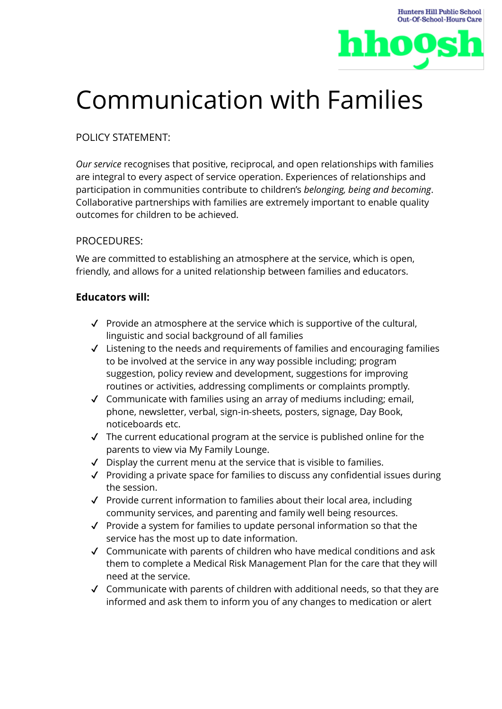

# Communication with Families

## POLICY STATEMENT:

*Our service* recognises that positive, reciprocal, and open relationships with families are integral to every aspect of service operation. Experiences of relationships and participation in communities contribute to children's *belonging, being and becoming*. Collaborative partnerships with families are extremely important to enable quality outcomes for children to be achieved.

### PROCEDURES:

We are committed to establishing an atmosphere at the service, which is open, friendly, and allows for a united relationship between families and educators.

### **Educators will:**

- ✔ Provide an atmosphere at the service which is supportive of the cultural, linguistic and social background of all families
- ✔ Listening to the needs and requirements of families and encouraging families to be involved at the service in any way possible including; program suggestion, policy review and development, suggestions for improving routines or activities, addressing compliments or complaints promptly.
- ✔ Communicate with families using an array of mediums including; email, phone, newsletter, verbal, sign-in-sheets, posters, signage, Day Book, noticeboards etc.
- ✔ The current educational program at the service is published online for the parents to view via My Family Lounge.
- ✔ Display the current menu at the service that is visible to families.
- ✔ Providing a private space for families to discuss any confidential issues during the session.
- ✔ Provide current information to families about their local area, including community services, and parenting and family well being resources.
- ✔ Provide a system for families to update personal information so that the service has the most up to date information.
- ✔ Communicate with parents of children who have medical conditions and ask them to complete a Medical Risk Management Plan for the care that they will need at the service.
- $\checkmark$  Communicate with parents of children with additional needs, so that they are informed and ask them to inform you of any changes to medication or alert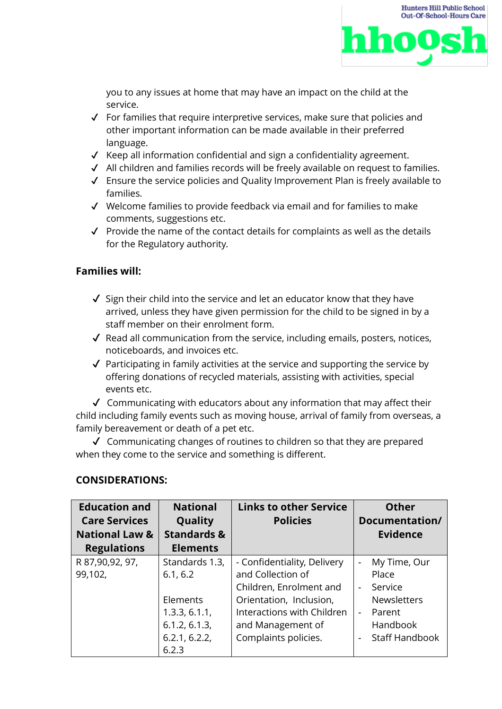

you to any issues at home that may have an impact on the child at the service.

- $\checkmark$  For families that require interpretive services, make sure that policies and other important information can be made available in their preferred language.
- ✔ Keep all information confidential and sign a confidentiality agreement.
- ✔ All children and families records will be freely available on request to families.
- ✔ Ensure the service policies and Quality Improvement Plan is freely available to families.
- ✔ Welcome families to provide feedback via email and for families to make comments, suggestions etc.
- $\checkmark$  Provide the name of the contact details for complaints as well as the details for the Regulatory authority.

#### **Families will:**

- $\checkmark$  Sign their child into the service and let an educator know that they have arrived, unless they have given permission for the child to be signed in by a staff member on their enrolment form.
- ✔ Read all communication from the service, including emails, posters, notices, noticeboards, and invoices etc.
- $\sqrt{\ }$  Participating in family activities at the service and supporting the service by offering donations of recycled materials, assisting with activities, special events etc.

 $\checkmark$  Communicating with educators about any information that may affect their child including family events such as moving house, arrival of family from overseas, a family bereavement or death of a pet etc.

✔ Communicating changes of routines to children so that they are prepared when they come to the service and something is different.

#### **CONSIDERATIONS:**

| <b>Education and</b><br><b>Care Services</b> | <b>National</b><br>Quality | <b>Links to other Service</b><br><b>Policies</b> | <b>Other</b><br>Documentation/           |
|----------------------------------------------|----------------------------|--------------------------------------------------|------------------------------------------|
| <b>National Law &amp;</b>                    | <b>Standards &amp;</b>     |                                                  | <b>Evidence</b>                          |
| <b>Regulations</b>                           | <b>Elements</b>            |                                                  |                                          |
| R 87,90,92, 97,                              | Standards 1.3,             | - Confidentiality, Delivery                      | My Time, Our<br>$\overline{\phantom{a}}$ |
| 99,102,                                      | 6.1, 6.2                   | and Collection of                                | Place                                    |
|                                              |                            | Children, Enrolment and                          | Service<br>$\blacksquare$                |
|                                              | Elements                   | Orientation, Inclusion,                          | <b>Newsletters</b>                       |
|                                              | 1.3.3, 6.1.1,              | Interactions with Children                       | Parent<br>$\blacksquare$                 |
|                                              | 6.1.2, 6.1.3,              | and Management of                                | Handbook                                 |
|                                              | 6.2.1, 6.2.2,              | Complaints policies.                             | <b>Staff Handbook</b><br>$\blacksquare$  |
|                                              | 6.2.3                      |                                                  |                                          |